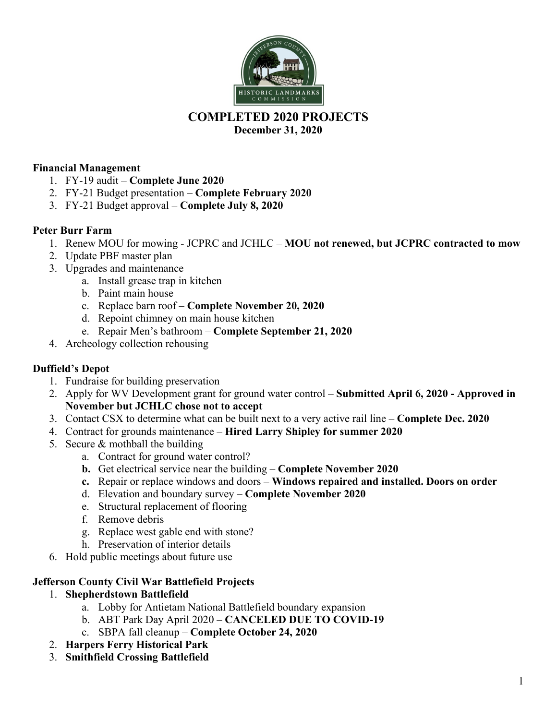

# **COMPLETED 2020 PROJECTS**

**December 31, 2020** 

### **Financial Management**

- 1. FY-19 audit **Complete June 2020**
- 2. FY-21 Budget presentation **Complete February 2020**
- 3. FY-21 Budget approval **Complete July 8, 2020**

### **Peter Burr Farm**

- 1. Renew MOU for mowing JCPRC and JCHLC **MOU not renewed, but JCPRC contracted to mow**
- 2. Update PBF master plan
- 3. Upgrades and maintenance
	- a. Install grease trap in kitchen
	- b. Paint main house
	- c. Replace barn roof **Complete November 20, 2020**
	- d. Repoint chimney on main house kitchen
	- e. Repair Men's bathroom **Complete September 21, 2020**
- 4. Archeology collection rehousing

#### **Duffield's Depot**

- 1. Fundraise for building preservation
- 2. Apply for WV Development grant for ground water control **Submitted April 6, 2020 Approved in November but JCHLC chose not to accept**
- 3. Contact CSX to determine what can be built next to a very active rail line **Complete Dec. 2020**
- 4. Contract for grounds maintenance **Hired Larry Shipley for summer 2020**
- 5. Secure & mothball the building
	- a. Contract for ground water control?
	- **b.** Get electrical service near the building **Complete November 2020**
	- **c.** Repair or replace windows and doors **Windows repaired and installed. Doors on order**
	- d. Elevation and boundary survey **Complete November 2020**
	- e. Structural replacement of flooring
	- f. Remove debris
	- g. Replace west gable end with stone?
	- h. Preservation of interior details
- 6. Hold public meetings about future use

#### **Jefferson County Civil War Battlefield Projects**

- 1. **Shepherdstown Battlefield**
	- a. Lobby for Antietam National Battlefield boundary expansion
	- b. ABT Park Day April 2020 **CANCELED DUE TO COVID-19**
	- c. SBPA fall cleanup – **Complete October 24, 2020**
- 2. **Harpers Ferry Historical Park**
- 3. **Smithfield Crossing Battlefield**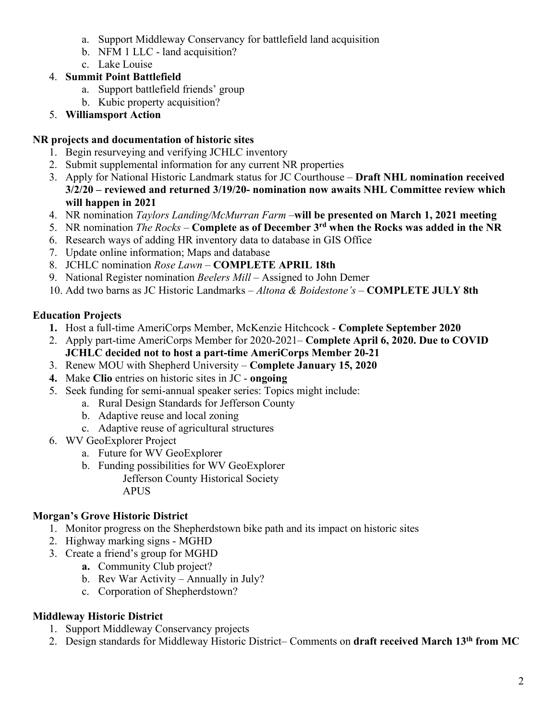- a. Support Middleway Conservancy for battlefield land acquisition
- b. NFM 1 LLC land acquisition?
- c. Lake Louise

# 4. **Summit Point Battlefield**

- a. Support battlefield friends' group
- b. Kubic property acquisition?
- 5. **Williamsport Action**

# **NR projects and documentation of historic sites**

- 1. Begin resurveying and verifying JCHLC inventory
- 2. Submit supplemental information for any current NR properties
- 3. Apply for National Historic Landmark status for JC Courthouse **Draft NHL nomination received 3/2/20 – reviewed and returned 3/19/20- nomination now awaits NHL Committee review which will happen in 2021**
- 4. NR nomination *Taylors Landing/McMurran Farm –***will be presented on March 1, 2021 meeting**
- 5. NR nomination *The Rocks* **Complete as of December 3rd when the Rocks was added in the NR**
- 6. Research ways of adding HR inventory data to database in GIS Office
- 7. Update online information; Maps and database
- 8. JCHLC nomination *Rose Lawn* **COMPLETE APRIL 18th**
- 9. National Register nomination *Beelers Mill –* Assigned to John Demer
- 10. Add two barns as JC Historic Landmarks *Altona & Boidestone's –* **COMPLETE JULY 8th**

# **Education Projects**

- **1.** Host a full-time AmeriCorps Member, McKenzie Hitchcock **Complete September 2020**
- 2. Apply part-time AmeriCorps Member for 2020-2021– **Complete April 6, 2020. Due to COVID JCHLC decided not to host a part-time AmeriCorps Member 20-21**
- 3. Renew MOU with Shepherd University **Complete January 15, 2020**
- **4.** Make **Clio** entries on historic sites in JC **ongoing**
- 5. Seek funding for semi-annual speaker series: Topics might include:
	- a. Rural Design Standards for Jefferson County
	- b. Adaptive reuse and local zoning
	- c. Adaptive reuse of agricultural structures
- 6. WV GeoExplorer Project
	- a. Future for WV GeoExplorer
	- b. Funding possibilities for WV GeoExplorer
		- Jefferson County Historical Society APUS

# **Morgan's Grove Historic District**

- 1. Monitor progress on the Shepherdstown bike path and its impact on historic sites
- 2. Highway marking signs MGHD
- 3. Create a friend's group for MGHD
	- **a.** Community Club project?
	- b. Rev War Activity Annually in July?
	- c. Corporation of Shepherdstown?

# **Middleway Historic District**

- 1. Support Middleway Conservancy projects
- 2. Design standards for Middleway Historic District– Comments on **draft received March 13th from MC**